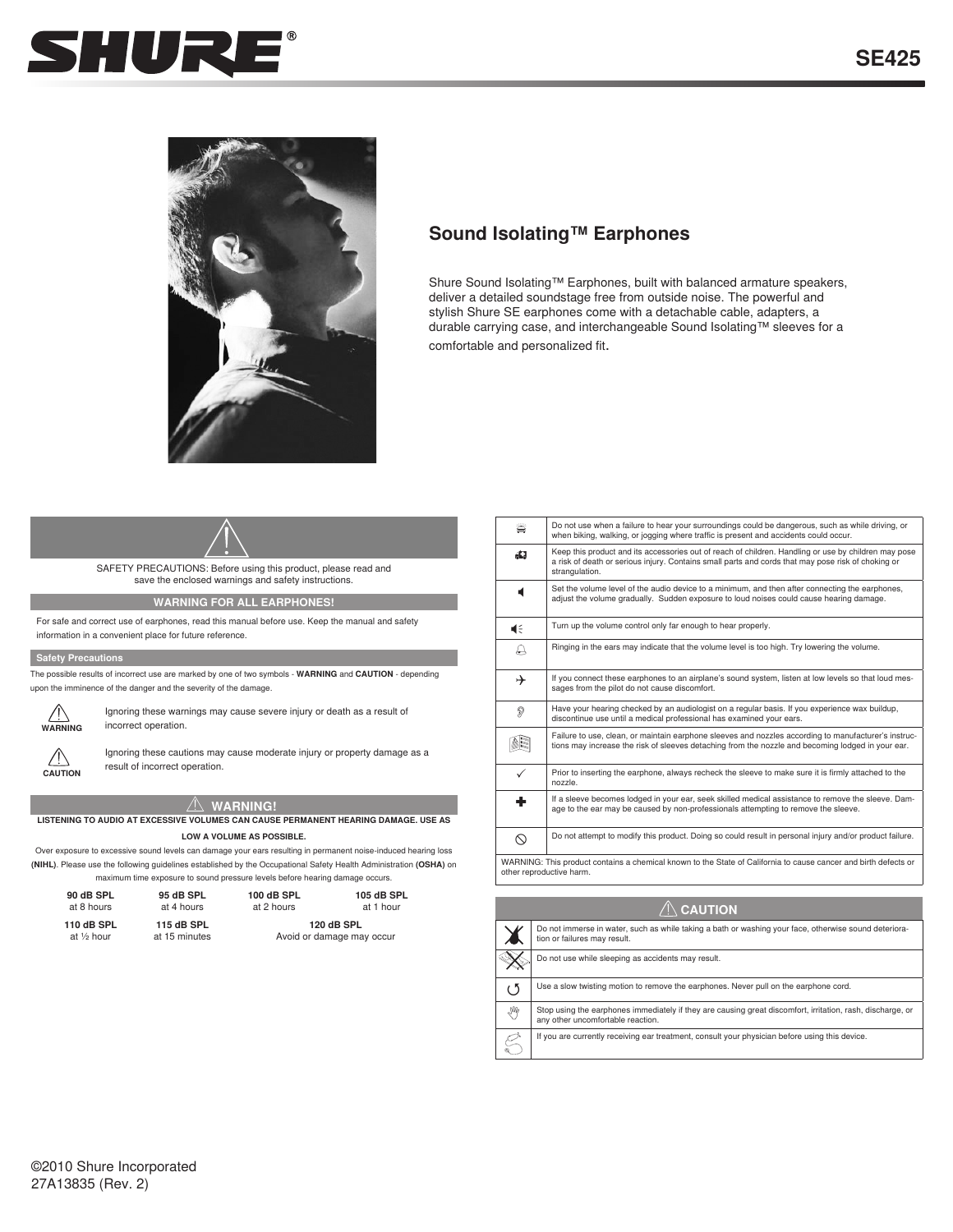



# **Sound Isolating™ Earphones**

Shure Sound Isolating™ Earphones, built with balanced armature speakers, deliver a detailed soundstage free from outside noise. The powerful and stylish Shure SE earphones come with a detachable cable, adapters, a durable carrying case, and interchangeable Sound Isolating™ sleeves for a comfortable and personalized fit.

# SAFETY PRECAUTIONS: Before using this product, please read and save the enclosed warnings and safety instructions.

**WARNING FOR ALL EARPHONES!**

For safe and correct use of earphones, read this manual before use. Keep the manual and safety information in a convenient place for future reference.

#### **Safety Precautions**

The possible results of incorrect use are marked by one of two symbols - **WARNING** and **CAUTION** - depending upon the imminence of the danger and the severity of the damage.



Ignoring these warnings may cause severe injury or death as a result of incorrect operation.



Ignoring these cautions may cause moderate injury or property damage as a

**CAUTION**

# **WARNING!**

result of incorrect operation.

#### **LISTENING TO AUDIO AT EXCESSIVE VOLUMES CAN CAUSE PERMANENT HEARING DAMAGE. USE AS LOW A VOLUME AS POSSIBLE.**

Over exposure to excessive sound levels can damage your ears resulting in permanent noise-induced hearing loss **(NIHL)**. Please use the following guidelines established by the Occupational Safety Health Administration **(OSHA)** on maximum time exposure to sound pressure levels before hearing damage occurs.

| 90 dB SPL   | 95 dB SPL     | 100 dB SPL | 105 dB SPL                |
|-------------|---------------|------------|---------------------------|
| at 8 hours  | at 4 hours    | at 2 hours | at 1 hour                 |
| 110 dB SPL  | 115 dB SPL    |            | 120 dB SPL                |
| at 1/2 hour | at 15 minutes |            | Avoid or damage may occur |

| ä                                                                                                                                           | Do not use when a failure to hear your surroundings could be dangerous, such as while driving, or<br>when biking, walking, or jogging where traffic is present and accidents could occur.                                    |  |
|---------------------------------------------------------------------------------------------------------------------------------------------|------------------------------------------------------------------------------------------------------------------------------------------------------------------------------------------------------------------------------|--|
| aQ.                                                                                                                                         | Keep this product and its accessories out of reach of children. Handling or use by children may pose<br>a risk of death or serious injury. Contains small parts and cords that may pose risk of choking or<br>strangulation. |  |
| ₫                                                                                                                                           | Set the volume level of the audio device to a minimum, and then after connecting the earphones,<br>adjust the volume gradually. Sudden exposure to loud noises could cause hearing damage.                                   |  |
| 4€                                                                                                                                          | Turn up the volume control only far enough to hear properly.                                                                                                                                                                 |  |
| €                                                                                                                                           | Ringing in the ears may indicate that the volume level is too high. Try lowering the volume.                                                                                                                                 |  |
| →                                                                                                                                           | If you connect these earphones to an airplane's sound system, listen at low levels so that loud mes-<br>sages from the pilot do not cause discomfort.                                                                        |  |
| P                                                                                                                                           | Have your hearing checked by an audiologist on a regular basis. If you experience wax buildup,<br>discontinue use until a medical professional has examined your ears.                                                       |  |
| (≋¦                                                                                                                                         | Failure to use, clean, or maintain earphone sleeves and nozzles according to manufacturer's instruc-<br>tions may increase the risk of sleeves detaching from the nozzle and becoming lodged in your ear.                    |  |
| ✓                                                                                                                                           | Prior to inserting the earphone, always recheck the sleeve to make sure it is firmly attached to the<br>nozzle.                                                                                                              |  |
| ٠                                                                                                                                           | If a sleeve becomes lodged in your ear, seek skilled medical assistance to remove the sleeve. Dam-<br>age to the ear may be caused by non-professionals attempting to remove the sleeve.                                     |  |
| ல                                                                                                                                           | Do not attempt to modify this product. Doing so could result in personal injury and/or product failure.                                                                                                                      |  |
| WARNING: This product contains a chemical known to the State of California to cause cancer and birth defects or<br>other reproductive harm. |                                                                                                                                                                                                                              |  |

| $\left\langle \right\langle \right\rangle$ Caution |                                                                                                                                                 |  |  |  |
|----------------------------------------------------|-------------------------------------------------------------------------------------------------------------------------------------------------|--|--|--|
|                                                    | Do not immerse in water, such as while taking a bath or washing your face, otherwise sound deteriora-<br>tion or failures may result.           |  |  |  |
|                                                    | Do not use while sleeping as accidents may result.                                                                                              |  |  |  |
| ( )                                                | Use a slow twisting motion to remove the earphones. Never pull on the earphone cord.                                                            |  |  |  |
| Im                                                 | Stop using the earphones immediately if they are causing great discomfort, irritation, rash, discharge, or<br>any other uncomfortable reaction. |  |  |  |
| Ò                                                  | If you are currently receiving ear treatment, consult your physician before using this device.                                                  |  |  |  |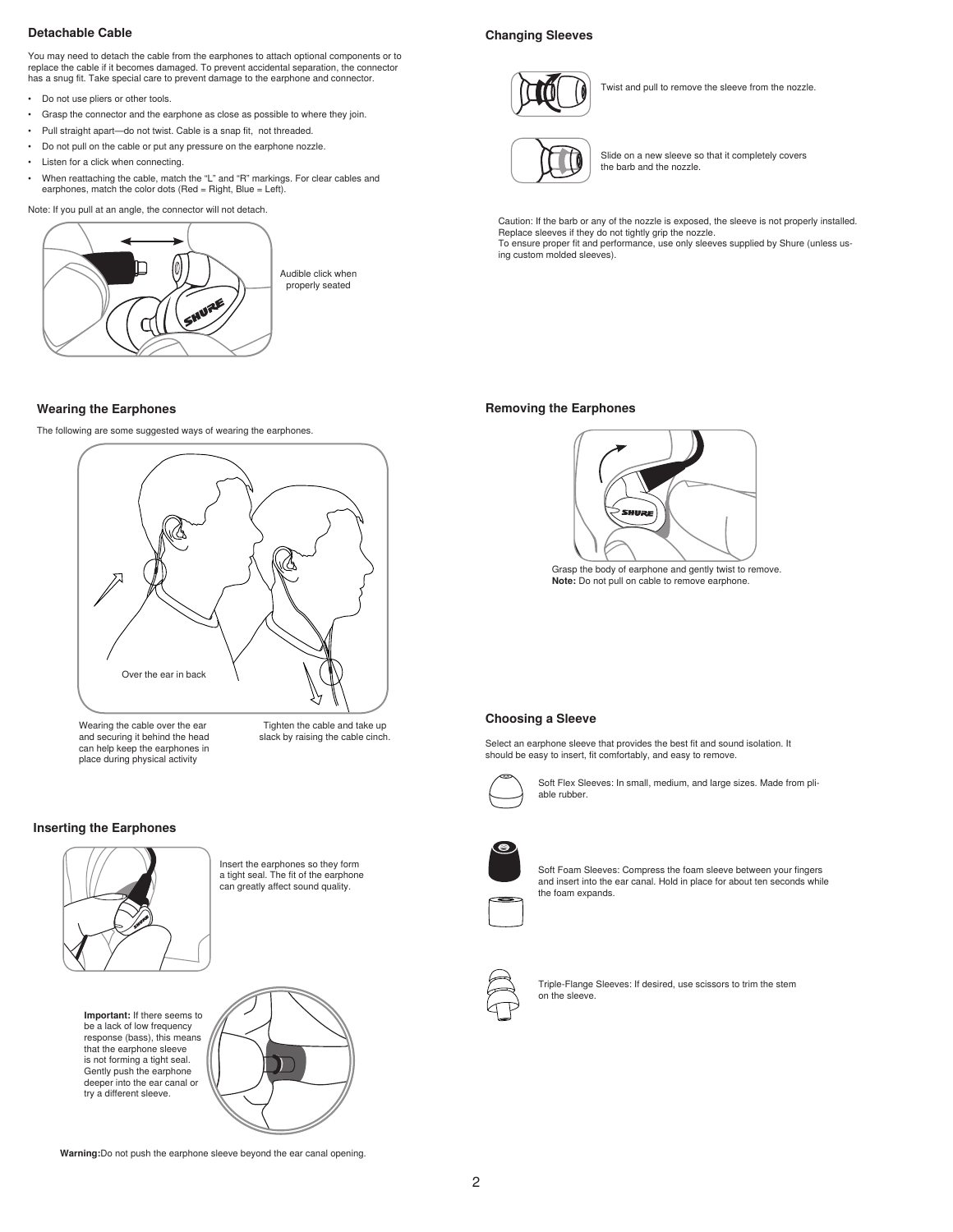#### **Detachable Cable**

You may need to detach the cable from the earphones to attach optional components or to replace the cable if it becomes damaged. To prevent accidental separation, the connector has a snug fit. Take special care to prevent damage to the earphone and connector.

- Do not use pliers or other tools.
- • Grasp the connector and the earphone as close as possible to where they join.
- • Pull straight apart—do not twist. Cable is a snap fit, not threaded.
- • Do not pull on the cable or put any pressure on the earphone nozzle.
- • Listen for a click when connecting.
- • When reattaching the cable, match the "L" and "R" markings. For clear cables and earphones, match the color dots (Red = Right, Blue = Left).

Note: If you pull at an angle, the connector will not detach.



# **Wearing the Earphones**

The following are some suggested ways of wearing the earphones.



Wearing the cable over the ear and securing it behind the head can help keep the earphones in place during physical activity

Tighten the cable and take up slack by raising the cable cinch.

# **Inserting the Earphones**



**Important:** If there seems to be a lack of low frequency response (bass), this means that the earphone sleeve is not forming a tight seal. Gently push the earphone deeper into the ear canal or try a different sleeve.

Insert the earphones so they form a tight seal. The fit of the earphone can greatly affect sound quality.



the foam expands.



Triple-Flange Sleeves: If desired, use scissors to trim the stem on the sleeve.

### **Changing Sleeves**



Twist and pull to remove the sleeve from the nozzle.



Slide on a new sleeve so that it completely covers the barb and the nozzle.

Caution: If the barb or any of the nozzle is exposed, the sleeve is not properly installed. Replace sleeves if they do not tightly grip the nozzle. To ensure proper fit and performance, use only sleeves supplied by Shure (unless using custom molded sleeves).

#### **Removing the Earphones**



Grasp the body of earphone and gently twist to remove. **Note:** Do not pull on cable to remove earphone.

#### **Choosing a Sleeve**

Select an earphone sleeve that provides the best fit and sound isolation. It should be easy to insert, fit comfortably, and easy to remove.



Soft Flex Sleeves: In small, medium, and large sizes. Made from pliable rubber.

Soft Foam Sleeves: Compress the foam sleeve between your fingers and insert into the ear canal. Hold in place for about ten seconds while

**Warning:**Do not push the earphone sleeve beyond the ear canal opening.